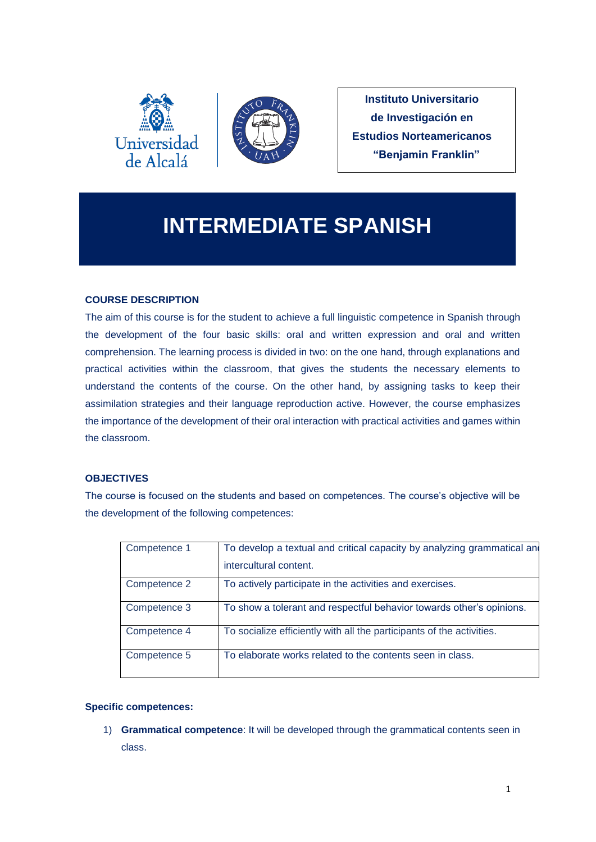



**Instituto Universitario de Investigación en Estudios Norteamericanos "Benjamin Franklin"**

# **INTERMEDIATE SPANISH**

# **COURSE DESCRIPTION**

The aim of this course is for the student to achieve a full linguistic competence in Spanish through the development of the four basic skills: oral and written expression and oral and written comprehension. The learning process is divided in two: on the one hand, through explanations and practical activities within the classroom, that gives the students the necessary elements to understand the contents of the course. On the other hand, by assigning tasks to keep their assimilation strategies and their language reproduction active. However, the course emphasizes the importance of the development of their oral interaction with practical activities and games within the classroom.

# **OBJECTIVES**

The course is focused on the students and based on competences. The course's objective will be the development of the following competences:

| Competence 1 | To develop a textual and critical capacity by analyzing grammatical and<br>intercultural content. |
|--------------|---------------------------------------------------------------------------------------------------|
| Competence 2 | To actively participate in the activities and exercises.                                          |
| Competence 3 | To show a tolerant and respectful behavior towards other's opinions.                              |
| Competence 4 | To socialize efficiently with all the participants of the activities.                             |
| Competence 5 | To elaborate works related to the contents seen in class.                                         |

# **Specific competences:**

1) **Grammatical competence**: It will be developed through the grammatical contents seen in class.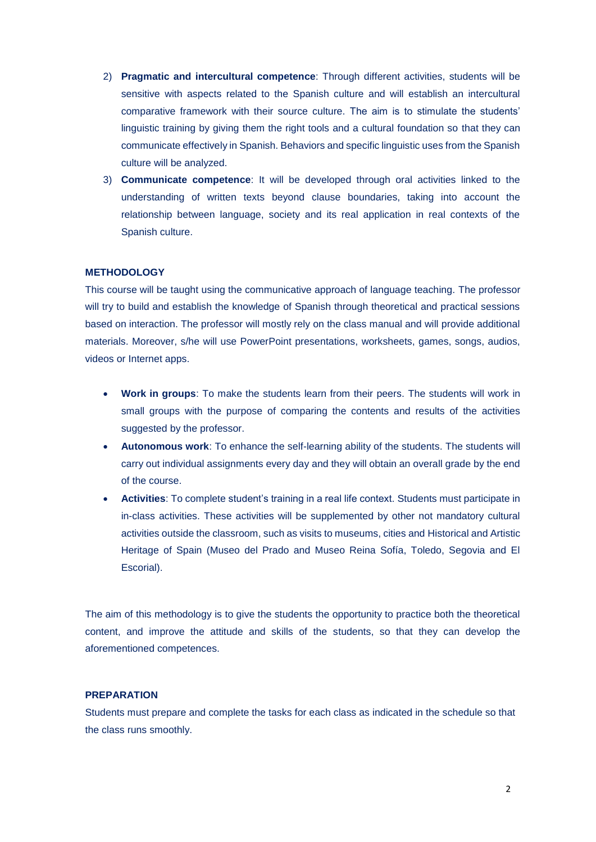- 2) **Pragmatic and intercultural competence**: Through different activities, students will be sensitive with aspects related to the Spanish culture and will establish an intercultural comparative framework with their source culture. The aim is to stimulate the students' linguistic training by giving them the right tools and a cultural foundation so that they can communicate effectively in Spanish. Behaviors and specific linguistic uses from the Spanish culture will be analyzed.
- 3) **Communicate competence**: It will be developed through oral activities linked to the understanding of written texts beyond clause boundaries, taking into account the relationship between language, society and its real application in real contexts of the Spanish culture.

#### **METHODOLOGY**

This course will be taught using the communicative approach of language teaching. The professor will try to build and establish the knowledge of Spanish through theoretical and practical sessions based on interaction. The professor will mostly rely on the class manual and will provide additional materials. Moreover, s/he will use PowerPoint presentations, worksheets, games, songs, audios, videos or Internet apps.

- **Work in groups**: To make the students learn from their peers. The students will work in small groups with the purpose of comparing the contents and results of the activities suggested by the professor.
- **Autonomous work**: To enhance the self-learning ability of the students. The students will carry out individual assignments every day and they will obtain an overall grade by the end of the course.
- **Activities**: To complete student's training in a real life context. Students must participate in in-class activities. These activities will be supplemented by other not mandatory cultural activities outside the classroom, such as visits to museums, cities and Historical and Artistic Heritage of Spain (Museo del Prado and Museo Reina Sofía, Toledo, Segovia and El Escorial).

The aim of this methodology is to give the students the opportunity to practice both the theoretical content, and improve the attitude and skills of the students, so that they can develop the aforementioned competences.

#### **PREPARATION**

Students must prepare and complete the tasks for each class as indicated in the schedule so that the class runs smoothly.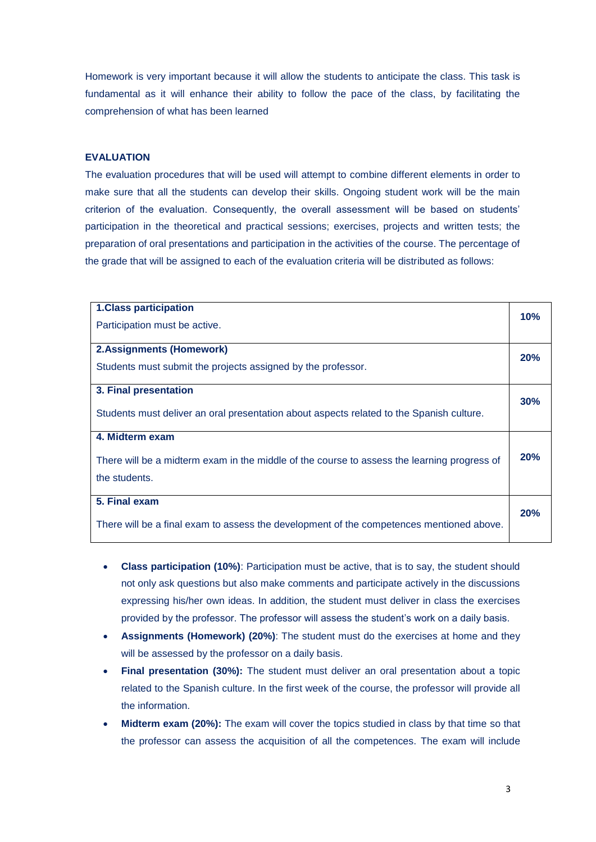Homework is very important because it will allow the students to anticipate the class. This task is fundamental as it will enhance their ability to follow the pace of the class, by facilitating the comprehension of what has been learned

#### **EVALUATION**

The evaluation procedures that will be used will attempt to combine different elements in order to make sure that all the students can develop their skills. Ongoing student work will be the main criterion of the evaluation. Consequently, the overall assessment will be based on students' participation in the theoretical and practical sessions; exercises, projects and written tests; the preparation of oral presentations and participation in the activities of the course. The percentage of the grade that will be assigned to each of the evaluation criteria will be distributed as follows:

| <b>1.Class participation</b><br>Participation must be active.                                                |     |  |
|--------------------------------------------------------------------------------------------------------------|-----|--|
| <b>2.Assignments (Homework)</b>                                                                              |     |  |
| Students must submit the projects assigned by the professor.                                                 |     |  |
| 3. Final presentation                                                                                        | 30% |  |
| Students must deliver an oral presentation about aspects related to the Spanish culture.                     |     |  |
| 4. Midterm exam                                                                                              |     |  |
| There will be a midterm exam in the middle of the course to assess the learning progress of<br>the students. |     |  |
| 5. Final exam                                                                                                |     |  |
| There will be a final exam to assess the development of the competences mentioned above.                     | 20% |  |

- **Class participation (10%)**: Participation must be active, that is to say, the student should not only ask questions but also make comments and participate actively in the discussions expressing his/her own ideas. In addition, the student must deliver in class the exercises provided by the professor. The professor will assess the student's work on a daily basis.
- **Assignments (Homework) (20%)**: The student must do the exercises at home and they will be assessed by the professor on a daily basis.
- **Final presentation (30%):** The student must deliver an oral presentation about a topic related to the Spanish culture. In the first week of the course, the professor will provide all the information.
- **Midterm exam (20%):** The exam will cover the topics studied in class by that time so that the professor can assess the acquisition of all the competences. The exam will include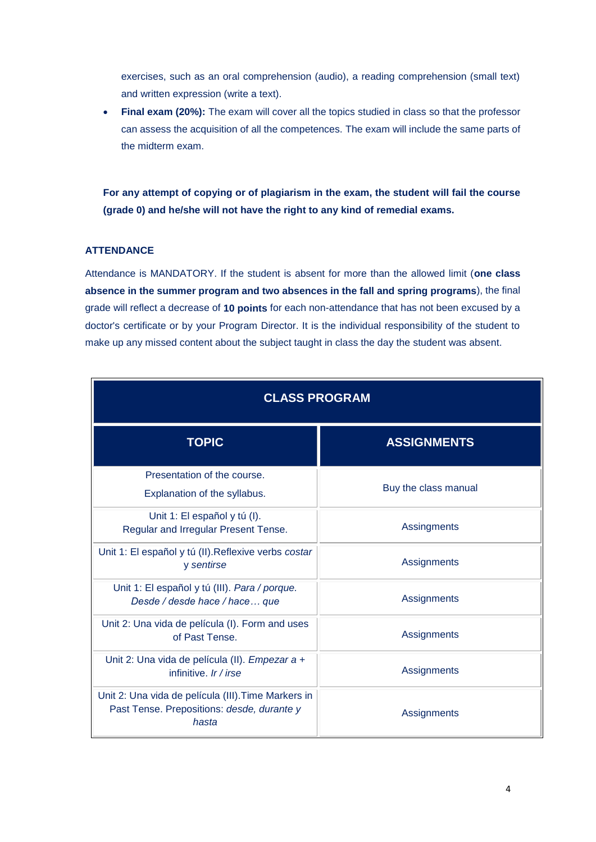exercises, such as an oral comprehension (audio), a reading comprehension (small text) and written expression (write a text).

 **Final exam (20%):** The exam will cover all the topics studied in class so that the professor can assess the acquisition of all the competences. The exam will include the same parts of the midterm exam.

**For any attempt of copying or of plagiarism in the exam, the student will fail the course (grade 0) and he/she will not have the right to any kind of remedial exams.**

## **ATTENDANCE**

Attendance is MANDATORY. If the student is absent for more than the allowed limit (**one class absence in the summer program and two absences in the fall and spring programs**), the final grade will reflect a decrease of **10 points** for each non-attendance that has not been excused by a doctor's certificate or by your Program Director. It is the individual responsibility of the student to make up any missed content about the subject taught in class the day the student was absent.

| <b>CLASS PROGRAM</b>                                                                                       |                      |  |  |
|------------------------------------------------------------------------------------------------------------|----------------------|--|--|
| <b>TOPIC</b>                                                                                               | <b>ASSIGNMENTS</b>   |  |  |
| Presentation of the course.<br>Explanation of the syllabus.                                                | Buy the class manual |  |  |
| Unit 1: El español y tú (I).<br>Regular and Irregular Present Tense.                                       | Assingments          |  |  |
| Unit 1: El español y tú (II). Reflexive verbs costar<br>y sentirse                                         | Assignments          |  |  |
| Unit 1: El español y tú (III). Para / porque.<br>Desde / desde hace / hace que                             | Assignments          |  |  |
| Unit 2: Una vida de película (I). Form and uses<br>of Past Tense.                                          | Assignments          |  |  |
| Unit 2: Una vida de película (II). Empezar a +<br>infinitive. Ir / irse                                    | Assignments          |  |  |
| Unit 2: Una vida de película (III). Time Markers in<br>Past Tense. Prepositions: desde, durante y<br>hasta | Assignments          |  |  |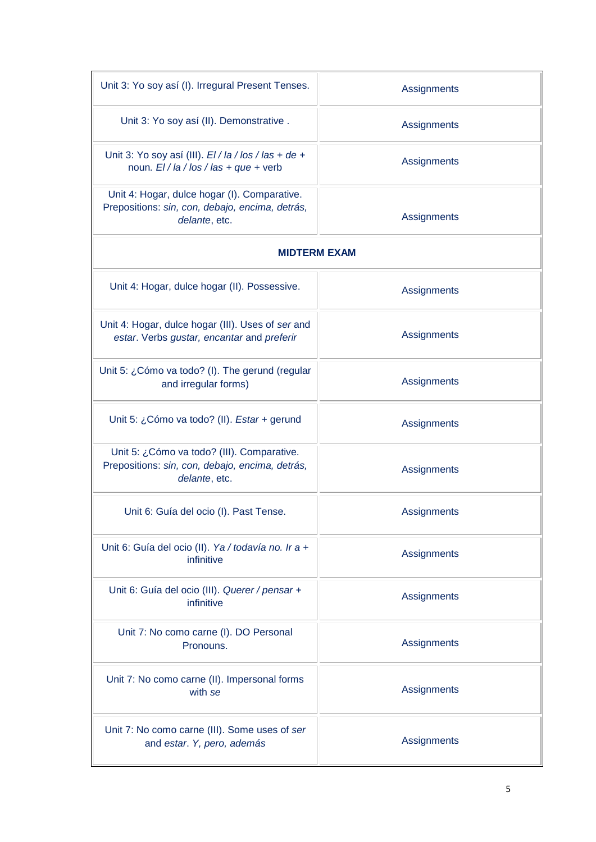| Unit 3: Yo soy así (I). Irregural Present Tenses.                                                                | Assignments |  |  |  |
|------------------------------------------------------------------------------------------------------------------|-------------|--|--|--|
| Unit 3: Yo soy así (II). Demonstrative.                                                                          | Assignments |  |  |  |
| Unit 3: Yo soy así (III). $EI/IA/los/las + de +$<br>noun. $EI/la / \log / \log + que + verb$                     | Assignments |  |  |  |
| Unit 4: Hogar, dulce hogar (I). Comparative.<br>Prepositions: sin, con, debajo, encima, detrás,<br>delante, etc. | Assignments |  |  |  |
| <b>MIDTERM EXAM</b>                                                                                              |             |  |  |  |
| Unit 4: Hogar, dulce hogar (II). Possessive.                                                                     | Assignments |  |  |  |
| Unit 4: Hogar, dulce hogar (III). Uses of ser and<br>estar. Verbs gustar, encantar and preferir                  | Assignments |  |  |  |
| Unit 5: ¿Cómo va todo? (I). The gerund (regular<br>and irregular forms)                                          | Assignments |  |  |  |
| Unit 5: ¿Cómo va todo? (II). Estar + gerund                                                                      | Assignments |  |  |  |
| Unit 5: ¿Cómo va todo? (III). Comparative.<br>Prepositions: sin, con, debajo, encima, detrás,<br>delante, etc.   | Assignments |  |  |  |
| Unit 6: Guía del ocio (I). Past Tense.                                                                           | Assignments |  |  |  |
| Unit 6: Guía del ocio (II). Ya / todavía no. Ir a +<br>infinitive                                                | Assignments |  |  |  |
| Unit 6: Guía del ocio (III). Querer / pensar +<br>infinitive                                                     | Assignments |  |  |  |
| Unit 7: No como carne (I). DO Personal<br>Pronouns.                                                              | Assignments |  |  |  |
| Unit 7: No como carne (II). Impersonal forms<br>with se                                                          | Assignments |  |  |  |
| Unit 7: No como carne (III). Some uses of ser<br>and estar. Y, pero, además                                      | Assignments |  |  |  |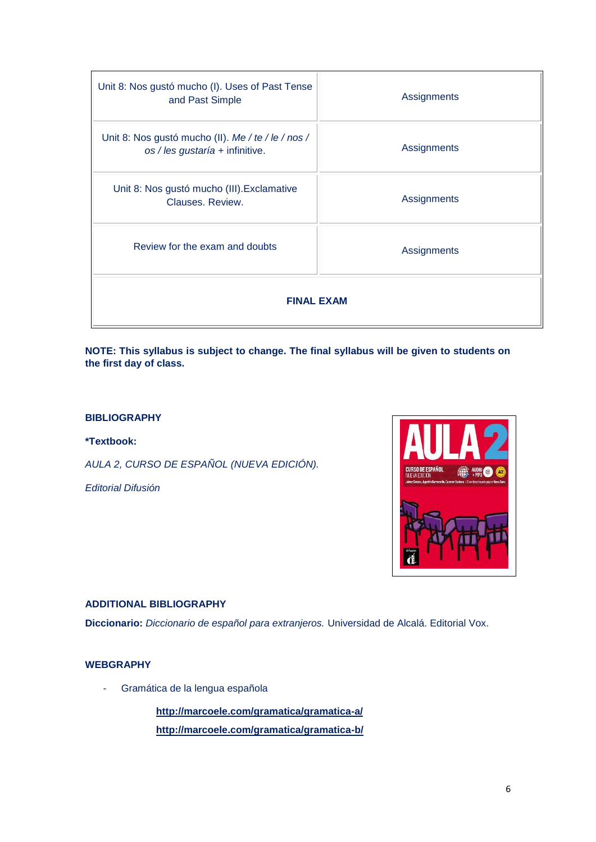| Unit 8: Nos gustó mucho (I). Uses of Past Tense<br>and Past Simple                    | Assignments |  |  |  |
|---------------------------------------------------------------------------------------|-------------|--|--|--|
| Unit 8: Nos gustó mucho (II). Me / te / le / nos /<br>os / les gustaría + infinitive. | Assignments |  |  |  |
| Unit 8: Nos gustó mucho (III). Exclamative<br>Clauses, Review.                        | Assignments |  |  |  |
| Review for the exam and doubts                                                        | Assignments |  |  |  |
| <b>FINAL EXAM</b>                                                                     |             |  |  |  |

**NOTE: This syllabus is subject to change. The final syllabus will be given to students on the first day of class.**

# **BIBLIOGRAPHY**

**\*Textbook:**

*AULA 2, CURSO DE ESPAÑOL (NUEVA EDICIÓN).*

*Editorial Difusión*



## **ADDITIONAL BIBLIOGRAPHY**

**Diccionario:** *Diccionario de español para extranjeros.* Universidad de Alcalá. Editorial Vox.

## **WEBGRAPHY**

- Gramática de la lengua española

**<http://marcoele.com/gramatica/gramatica-a/> <http://marcoele.com/gramatica/gramatica-b/>**